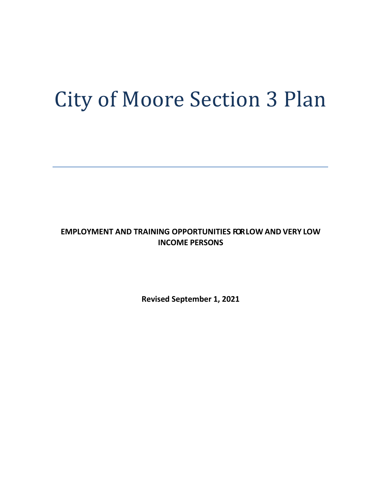# City of Moore Section 3 Plan

**EMPLOYMENT AND TRAINING OPPORTUNITIES FORLOW AND VERY LOW INCOME PERSONS**

**Revised September 1, 2021**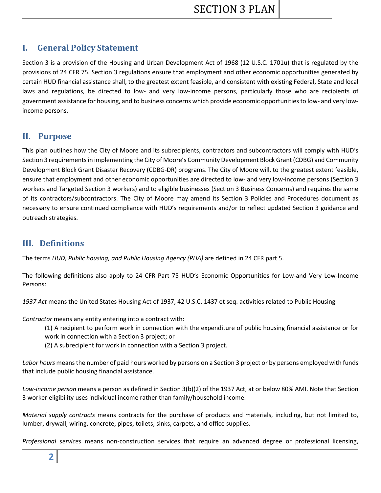# **I. General Policy Statement**

Section 3 is a provision of the Housing and Urban Development Act of 1968 (12 U.S.C. 1701u) that is regulated by the provisions of 24 CFR 75. Section 3 regulations ensure that employment and other economic opportunities generated by certain HUD financial assistance shall, to the greatest extent feasible, and consistent with existing Federal, State and local laws and regulations, be directed to low- and very low-income persons, particularly those who are recipients of government assistance for housing, and to business concerns which provide economic opportunities to low- and very lowincome persons.

## **II. Purpose**

This plan outlines how the City of Moore and its subrecipients, contractors and subcontractors will comply with HUD's Section 3 requirements in implementing the City of Moore's Community Development Block Grant (CDBG) and Community Development Block Grant Disaster Recovery (CDBG-DR) programs. The City of Moore will, to the greatest extent feasible, ensure that employment and other economic opportunities are directed to low- and very low-income persons (Section 3 workers and Targeted Section 3 workers) and to eligible businesses (Section 3 Business Concerns) and requires the same of its contractors/subcontractors. The City of Moore may amend its Section 3 Policies and Procedures document as necessary to ensure continued compliance with HUD's requirements and/or to reflect updated Section 3 guidance and outreach strategies.

## **III. Definitions**

The terms *HUD, Public housing, and Public Housing Agency (PHA)* are defined in 24 CFR part 5.

The following definitions also apply to 24 CFR Part 75 HUD's Economic Opportunities for Low-and Very Low-Income Persons:

*1937 Act* means the United States Housing Act of 1937, 42 U.S.C. 1437 et seq. activities related to Public Housing

*Contractor* means any entity entering into a contract with:

(1) A recipient to perform work in connection with the expenditure of public housing financial assistance or for work in connection with a Section 3 project; or

(2) A subrecipient for work in connection with a Section 3 project.

*Labor hours* means the number of paid hours worked by persons on a Section 3 project or by persons employed with funds that include public housing financial assistance.

*Low-income person* means a person as defined in Section 3(b)(2) of the 1937 Act, at or below 80% AMI. Note that Section 3 worker eligibility uses individual income rather than family/household income.

*Material supply contracts* means contracts for the purchase of products and materials, including, but not limited to, lumber, drywall, wiring, concrete, pipes, toilets, sinks, carpets, and office supplies.

*Professional services* means non-construction services that require an advanced degree or professional licensing,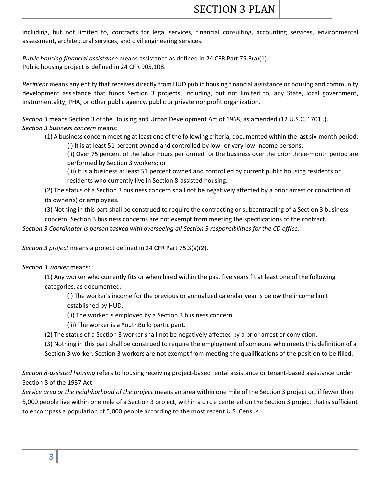including, but not limited to, contracts for legal services, financial consulting, accounting services, environmental assessment, architectural services, and civil engineering services.

*Public housing financial assistance* means assistance as defined in 24 CFR Part 75.3(a)(1). Public housing project is defined in 24 CFR 905.108.

*Recipient* means any entity that receives directly from HUD public housing financial assistance or housing and community development assistance that funds Section 3 projects, including, but not limited to, any State, local government, instrumentality, PHA, or other public agency, public or private nonprofit organization.

*Section 3* means Section 3 of the Housing and Urban Development Act of 1968, as amended (12 U.S.C. 1701u). *Section 3 business concern* means:

(1) A business concern meeting at least one of the following criteria, documented within the last six-month period:

(i) It is at least 51 percent owned and controlled by low- or very low-income persons;

(ii) Over 75 percent of the labor hours performed for the business over the prior three-month period are performed by Section 3 workers; or

(iii) It is a business at least 51 percent owned and controlled by current public housing residents or residents who currently live in Section 8-assisted housing.

(2) The status of a Section 3 business concern shall not be negatively affected by a prior arrest or conviction of its owner(s) or employees.

(3) Nothing in this part shall be construed to require the contracting or subcontracting of a Section 3 business

concern. Section 3 business concerns are not exempt from meeting the specifications of the contract.

*Section 3 Coordinator is person tasked with overseeing all Section 3 responsibilities for the CD office.* 

*Section 3 project* means a project defined in 24 CFR Part 75.3(a)(2).

*Section 3 worker* means:

(1) Any worker who currently fits or when hired within the past five years fit at least one of the following categories, as documented:

(i) The worker's income for the previous or annualized calendar year is below the income limit established by HUD.

(ii) The worker is employed by a Section 3 business concern.

(iii) The worker is a YouthBuild participant.

(2) The status of a Section 3 worker shall not be negatively affected by a prior arrest or conviction.

(3) Nothing in this part shall be construed to require the employment of someone who meets this definition of a Section 3 worker. Section 3 workers are not exempt from meeting the qualifications of the position to be filled.

*Section 8-assisted housing* refers to housing receiving project-based rental assistance or tenant-based assistance under Section 8 of the 1937 Act.

*Service area or the neighborhood of the project* means an area within one mile of the Section 3 project or, if fewer than 5,000 people live within one mile of a Section 3 project, within a circle centered on the Section 3 project that is sufficient to encompass a population of 5,000 people according to the most recent U.S. Census.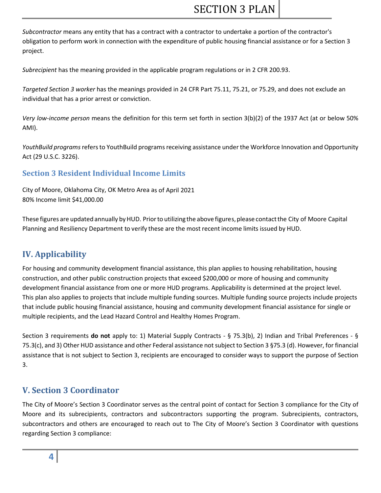*Subcontractor* means any entity that has a contract with a contractor to undertake a portion of the contractor's obligation to perform work in connection with the expenditure of public housing financial assistance or for a Section 3 project.

*Subrecipient* has the meaning provided in the applicable program regulations or in 2 CFR 200.93.

*Targeted Section 3 worker* has the meanings provided in 24 CFR Part 75.11, 75.21, or 75.29, and does not exclude an individual that has a prior arrest or conviction.

*Very low-income person* means the definition for this term set forth in section 3(b)(2) of the 1937 Act (at or below 50% AMI).

*YouthBuild programs* refers to YouthBuild programs receiving assistance under the Workforce Innovation and Opportunity Act (29 U.S.C. 3226).

## **Section 3 Resident Individual Income Limits**

City of Moore, Oklahoma City, OK Metro Area as of April 2021 80% Income limit \$41,000.00

These figures are updated annually by HUD. Prior to utilizing the above figures, please contact the City of Moore Capital Planning and Resiliency Department to verify these are the most recent income limits issued by HUD.

# **IV. Applicability**

For housing and community development financial assistance, this plan applies to housing rehabilitation, housing construction, and other public construction projects that exceed \$200,000 or more of housing and community development financial assistance from one or more HUD programs. Applicability is determined at the project level. This plan also applies to projects that include multiple funding sources. Multiple funding source projects include projects that include public housing financial assistance, housing and community development financial assistance for single or multiple recipients, and the Lead Hazard Control and Healthy Homes Program.

Section 3 requirements **do not** apply to: 1) Material Supply Contracts - § 75.3(b), 2) Indian and Tribal Preferences - § 75.3(c), and 3) Other HUD assistance and other Federal assistance not subject to Section 3 §75.3 (d). However, for financial assistance that is not subject to Section 3, recipients are encouraged to consider ways to support the purpose of Section 3.

# **V. Section 3 Coordinator**

The City of Moore's Section 3 Coordinator serves as the central point of contact for Section 3 compliance for the City of Moore and its subrecipients, contractors and subcontractors supporting the program. Subrecipients, contractors, subcontractors and others are encouraged to reach out to The City of Moore's Section 3 Coordinator with questions regarding Section 3 compliance: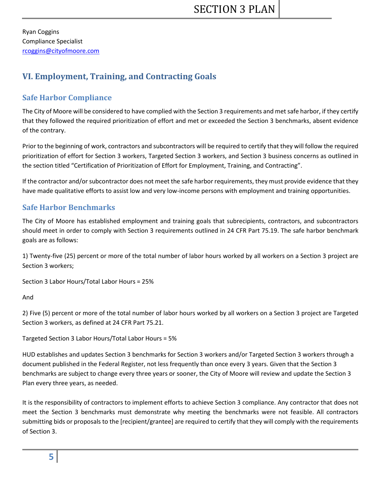Ryan Coggins Compliance Specialist [rcoggins@cityofmoore.com](mailto:rcoggins@cityofmoore.com)

# **VI. Employment, Training, and Contracting Goals**

# **Safe Harbor Compliance**

The City of Moore will be considered to have complied with the Section 3 requirements and met safe harbor, if they certify that they followed the required prioritization of effort and met or exceeded the Section 3 benchmarks, absent evidence of the contrary.

Prior to the beginning of work, contractors and subcontractors will be required to certify that they will follow the required prioritization of effort for Section 3 workers, Targeted Section 3 workers, and Section 3 business concerns as outlined in the section titled "Certification of Prioritization of Effort for Employment, Training, and Contracting".

If the contractor and/or subcontractor does not meet the safe harbor requirements, they must provide evidence that they have made qualitative efforts to assist low and very low-income persons with employment and training opportunities.

## **Safe Harbor Benchmarks**

The City of Moore has established employment and training goals that subrecipients, contractors, and subcontractors should meet in order to comply with Section 3 requirements outlined in 24 CFR Part 75.19. The safe harbor benchmark goals are as follows:

1) Twenty-five (25) percent or more of the total number of labor hours worked by all workers on a Section 3 project are Section 3 workers;

Section 3 Labor Hours/Total Labor Hours = 25%

And

2) Five (5) percent or more of the total number of labor hours worked by all workers on a Section 3 project are Targeted Section 3 workers, as defined at 24 CFR Part 75.21.

Targeted Section 3 Labor Hours/Total Labor Hours = 5%

HUD establishes and updates Section 3 benchmarks for Section 3 workers and/or Targeted Section 3 workers through a document published in the Federal Register, not less frequently than once every 3 years. Given that the Section 3 benchmarks are subject to change every three years or sooner, the City of Moore will review and update the Section 3 Plan every three years, as needed.

It is the responsibility of contractors to implement efforts to achieve Section 3 compliance. Any contractor that does not meet the Section 3 benchmarks must demonstrate why meeting the benchmarks were not feasible. All contractors submitting bids or proposals to the [recipient/grantee] are required to certify that they will comply with the requirements of Section 3.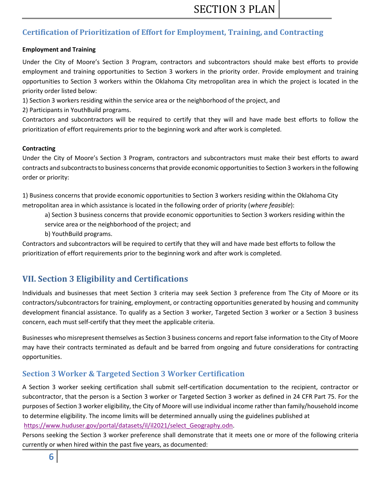# **Certification of Prioritization of Effort for Employment, Training, and Contracting**

#### **Employment and Training**

Under the City of Moore's Section 3 Program, contractors and subcontractors should make best efforts to provide employment and training opportunities to Section 3 workers in the priority order. Provide employment and training opportunities to Section 3 workers within the Oklahoma City metropolitan area in which the project is located in the priority order listed below:

1) Section 3 workers residing within the service area or the neighborhood of the project, and

2) Participants in YouthBuild programs.

Contractors and subcontractors will be required to certify that they will and have made best efforts to follow the prioritization of effort requirements prior to the beginning work and after work is completed.

#### **Contracting**

Under the City of Moore's Section 3 Program, contractors and subcontractors must make their best efforts to award contracts and subcontracts to business concerns that provide economic opportunities to Section 3 workers in the following order or priority:

1) Business concerns that provide economic opportunities to Section 3 workers residing within the Oklahoma City metropolitan area in which assistance is located in the following order of priority (*where feasible*):

a) Section 3 business concerns that provide economic opportunities to Section 3 workers residing within the

- service area or the neighborhood of the project; and
- b) YouthBuild programs.

Contractors and subcontractors will be required to certify that they will and have made best efforts to follow the prioritization of effort requirements prior to the beginning work and after work is completed.

# **VII. Section 3 Eligibility and Certifications**

Individuals and businesses that meet Section 3 criteria may seek Section 3 preference from The City of Moore or its contractors/subcontractors for training, employment, or contracting opportunities generated by housing and community development financial assistance. To qualify as a Section 3 worker, Targeted Section 3 worker or a Section 3 business concern, each must self-certify that they meet the applicable criteria.

Businesses who misrepresent themselves as Section 3 business concerns and report false information to the City of Moore may have their contracts terminated as default and be barred from ongoing and future considerations for contracting opportunities.

# **Section 3 Worker & Targeted Section 3 Worker Certification**

A Section 3 worker seeking certification shall submit self-certification documentation to the recipient, contractor or subcontractor, that the person is a Section 3 worker or Targeted Section 3 worker as defined in 24 CFR Part 75. For the purposes of Section 3 worker eligibility, the City of Moore will use individual income rather than family/household income to determine eligibility. The income limits will be determined annually using the guidelines published at [https://www.huduser.gov/portal/datasets/il/il2021/select\\_Geography.odn.](https://www.huduser.gov/portal/datasets/il/il2021/select_Geography.odn)

Persons seeking the Section 3 worker preference shall demonstrate that it meets one or more of the following criteria currently or when hired within the past five years, as documented: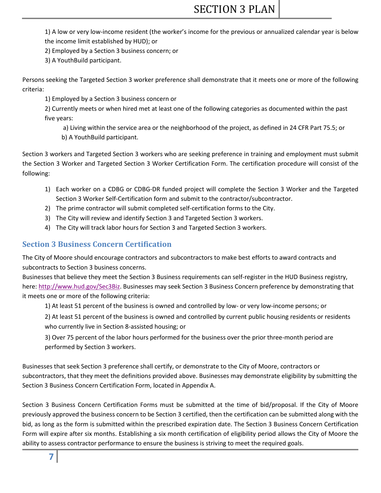# SECTION 3 PLAN

1) A low or very low-income resident (the worker's income for the previous or annualized calendar year is below the income limit established by HUD); or

2) Employed by a Section 3 business concern; or

3) A YouthBuild participant.

Persons seeking the Targeted Section 3 worker preference shall demonstrate that it meets one or more of the following criteria:

1) Employed by a Section 3 business concern or

2) Currently meets or when hired met at least one of the following categories as documented within the past five years:

a) Living within the service area or the neighborhood of the project, as defined in 24 CFR Part 75.5; or b) A YouthBuild participant.

Section 3 workers and Targeted Section 3 workers who are seeking preference in training and employment must submit the Section 3 Worker and Targeted Section 3 Worker Certification Form. The certification procedure will consist of the following:

- 1) Each worker on a CDBG or CDBG-DR funded project will complete the Section 3 Worker and the Targeted Section 3 Worker Self-Certification form and submit to the contractor/subcontractor.
- 2) The prime contractor will submit completed self-certification forms to the City.
- 3) The City will review and identify Section 3 and Targeted Section 3 workers.
- 4) The City will track labor hours for Section 3 and Targeted Section 3 workers.

## **Section 3 Business Concern Certification**

The City of Moore should encourage contractors and subcontractors to make best efforts to award contracts and subcontracts to Section 3 business concerns.

Businesses that believe they meet the Section 3 Business requirements can self-register in the HUD Business registry, here: [http://www.hud.gov/Sec3Biz.](http://www.hud.gov/Sec3Biz) Businesses may seek Section 3 Business Concern preference by demonstrating that it meets one or more of the following criteria:

1) At least 51 percent of the business is owned and controlled by low- or very low-income persons; or

2) At least 51 percent of the business is owned and controlled by current public housing residents or residents who currently live in Section 8-assisted housing; or

3) Over 75 percent of the labor hours performed for the business over the prior three-month period are performed by Section 3 workers.

Businesses that seek Section 3 preference shall certify, or demonstrate to the City of Moore, contractors or subcontractors, that they meet the definitions provided above. Businesses may demonstrate eligibility by submitting the Section 3 Business Concern Certification Form, located in Appendix A.

Section 3 Business Concern Certification Forms must be submitted at the time of bid/proposal. If the City of Moore previously approved the business concern to be Section 3 certified, then the certification can be submitted along with the bid, as long as the form is submitted within the prescribed expiration date. The Section 3 Business Concern Certification Form will expire after six months. Establishing a six month certification of eligibility period allows the City of Moore the ability to assess contractor performance to ensure the business is striving to meet the required goals.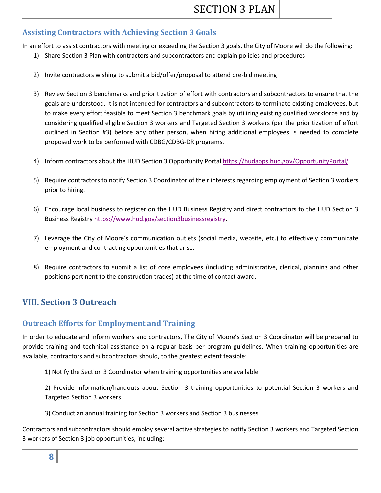## **Assisting Contractors with Achieving Section 3 Goals**

In an effort to assist contractors with meeting or exceeding the Section 3 goals, the City of Moore will do the following:

- 1) Share Section 3 Plan with contractors and subcontractors and explain policies and procedures
- 2) Invite contractors wishing to submit a bid/offer/proposal to attend pre-bid meeting
- 3) Review Section 3 benchmarks and prioritization of effort with contractors and subcontractors to ensure that the goals are understood. It is not intended for contractors and subcontractors to terminate existing employees, but to make every effort feasible to meet Section 3 benchmark goals by utilizing existing qualified workforce and by considering qualified eligible Section 3 workers and Targeted Section 3 workers (per the prioritization of effort outlined in Section #3) before any other person, when hiring additional employees is needed to complete proposed work to be performed with CDBG/CDBG-DR programs.
- 4) Inform contractors about the HUD Section 3 Opportunity Portal<https://hudapps.hud.gov/OpportunityPortal/>
- 5) Require contractors to notify Section 3 Coordinator of their interests regarding employment of Section 3 workers prior to hiring.
- 6) Encourage local business to register on the HUD Business Registry and direct contractors to the HUD Section 3 Business Registry [https://www.hud.gov/section3businessregistry.](https://www.hud.gov/section3businessregistry)
- 7) Leverage the City of Moore's communication outlets (social media, website, etc.) to effectively communicate employment and contracting opportunities that arise.
- 8) Require contractors to submit a list of core employees (including administrative, clerical, planning and other positions pertinent to the construction trades) at the time of contact award.

# **VIII. Section 3 Outreach**

# **Outreach Efforts for Employment and Training**

In order to educate and inform workers and contractors, The City of Moore's Section 3 Coordinator will be prepared to provide training and technical assistance on a regular basis per program guidelines. When training opportunities are available, contractors and subcontractors should, to the greatest extent feasible:

1) Notify the Section 3 Coordinator when training opportunities are available

2) Provide information/handouts about Section 3 training opportunities to potential Section 3 workers and Targeted Section 3 workers

3) Conduct an annual training for Section 3 workers and Section 3 businesses

Contractors and subcontractors should employ several active strategies to notify Section 3 workers and Targeted Section 3 workers of Section 3 job opportunities, including: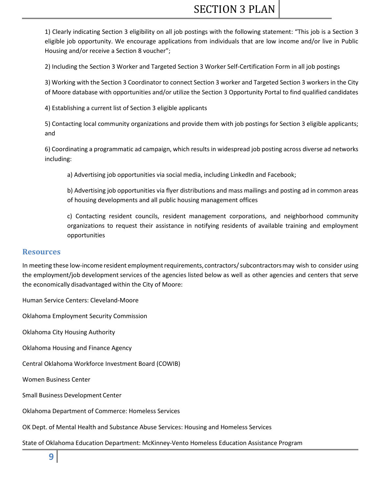1) Clearly indicating Section 3 eligibility on all job postings with the following statement: "This job is a Section 3 eligible job opportunity. We encourage applications from individuals that are low income and/or live in Public Housing and/or receive a Section 8 voucher";

2) Including the Section 3 Worker and Targeted Section 3 Worker Self-Certification Form in all job postings

3) Working with the Section 3 Coordinator to connect Section 3 worker and Targeted Section 3 workers in the City of Moore database with opportunities and/or utilize the Section 3 Opportunity Portal to find qualified candidates

4) Establishing a current list of Section 3 eligible applicants

5) Contacting local community organizations and provide them with job postings for Section 3 eligible applicants; and

6) Coordinating a programmatic ad campaign, which results in widespread job posting across diverse ad networks including:

a) Advertising job opportunities via social media, including LinkedIn and Facebook;

b) Advertising job opportunities via flyer distributions and mass mailings and posting ad in common areas of housing developments and all public housing management offices

c) Contacting resident councils, resident management corporations, and neighborhood community organizations to request their assistance in notifying residents of available training and employment opportunities

#### **Resources**

In meeting these low-income resident employment requirements, contractors/ subcontractors may wish to consider using the employment/job development services of the agencies listed below as well as other agencies and centers that serve the economically disadvantaged within the City of Moore:

Human Service Centers: Cleveland-Moore

Oklahoma Employment Security Commission

Oklahoma City Housing Authority

Oklahoma Housing and Finance Agency

Central Oklahoma Workforce Investment Board (COWIB)

Women Business Center

Small Business Development Center

Oklahoma Department of Commerce: Homeless Services

OK Dept. of Mental Health and Substance Abuse Services: Housing and Homeless Services

State of Oklahoma Education Department: McKinney-Vento Homeless Education Assistance Program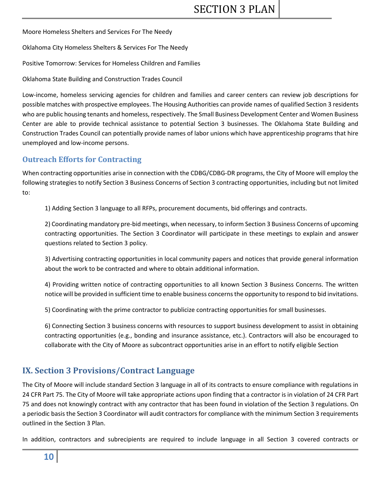Moore Homeless Shelters and Services For The Needy

Oklahoma City Homeless Shelters & Services For The Needy

Positive Tomorrow: Services for Homeless Children and Families

Oklahoma State Building and Construction Trades Council

Low-income, homeless servicing agencies for children and families and career centers can review job descriptions for possible matches with prospective employees. The Housing Authorities can provide names of qualified Section 3 residents who are public housing tenants and homeless, respectively. The Small Business Development Center and Women Business Center are able to provide technical assistance to potential Section 3 businesses. The Oklahoma State Building and Construction Trades Council can potentially provide names of labor unions which have apprenticeship programs that hire unemployed and low-income persons.

### **Outreach Efforts for Contracting**

When contracting opportunities arise in connection with the CDBG/CDBG-DR programs, the City of Moore will employ the following strategies to notify Section 3 Business Concerns of Section 3 contracting opportunities, including but not limited to:

1) Adding Section 3 language to all RFPs, procurement documents, bid offerings and contracts.

2) Coordinating mandatory pre-bid meetings, when necessary, to inform Section 3 Business Concerns of upcoming contracting opportunities. The Section 3 Coordinator will participate in these meetings to explain and answer questions related to Section 3 policy.

3) Advertising contracting opportunities in local community papers and notices that provide general information about the work to be contracted and where to obtain additional information.

4) Providing written notice of contracting opportunities to all known Section 3 Business Concerns. The written notice will be provided in sufficient time to enable business concerns the opportunity to respond to bid invitations.

5) Coordinating with the prime contractor to publicize contracting opportunities for small businesses.

6) Connecting Section 3 business concerns with resources to support business development to assist in obtaining contracting opportunities (e.g., bonding and insurance assistance, etc.). Contractors will also be encouraged to collaborate with the City of Moore as subcontract opportunities arise in an effort to notify eligible Section

# **IX. Section 3 Provisions/Contract Language**

The City of Moore will include standard Section 3 language in all of its contracts to ensure compliance with regulations in 24 CFR Part 75. The City of Moore will take appropriate actions upon finding that a contractor is in violation of 24 CFR Part 75 and does not knowingly contract with any contractor that has been found in violation of the Section 3 regulations. On a periodic basis the Section 3 Coordinator will audit contractors for compliance with the minimum Section 3 requirements outlined in the Section 3 Plan.

In addition, contractors and subrecipients are required to include language in all Section 3 covered contracts or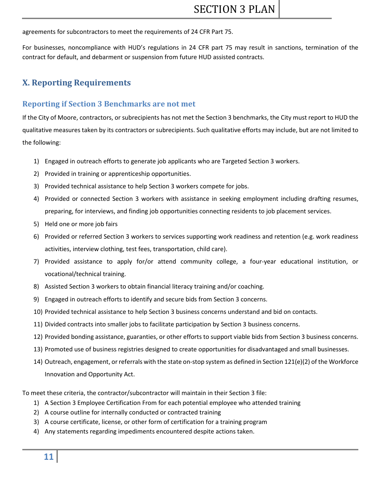agreements for subcontractors to meet the requirements of 24 CFR Part 75.

For businesses, noncompliance with HUD's regulations in 24 CFR part 75 may result in sanctions, termination of the contract for default, and debarment or suspension from future HUD assisted contracts.

# **X. Reporting Requirements**

## **Reporting if Section 3 Benchmarks are not met**

If the City of Moore, contractors, or subrecipients has not met the Section 3 benchmarks, the City must report to HUD the qualitative measures taken by its contractors or subrecipients. Such qualitative efforts may include, but are not limited to the following:

- 1) Engaged in outreach efforts to generate job applicants who are Targeted Section 3 workers.
- 2) Provided in training or apprenticeship opportunities.
- 3) Provided technical assistance to help Section 3 workers compete for jobs.
- 4) Provided or connected Section 3 workers with assistance in seeking employment including drafting resumes, preparing, for interviews, and finding job opportunities connecting residents to job placement services.
- 5) Held one or more job fairs
- 6) Provided or referred Section 3 workers to services supporting work readiness and retention (e.g. work readiness activities, interview clothing, test fees, transportation, child care).
- 7) Provided assistance to apply for/or attend community college, a four-year educational institution, or vocational/technical training.
- 8) Assisted Section 3 workers to obtain financial literacy training and/or coaching.
- 9) Engaged in outreach efforts to identify and secure bids from Section 3 concerns.
- 10) Provided technical assistance to help Section 3 business concerns understand and bid on contacts.
- 11) Divided contracts into smaller jobs to facilitate participation by Section 3 business concerns.
- 12) Provided bonding assistance, guaranties, or other efforts to support viable bids from Section 3 business concerns.
- 13) Promoted use of business registries designed to create opportunities for disadvantaged and small businesses.
- 14) Outreach, engagement, or referrals with the state on-stop system as defined in Section 121(e)(2) of the Workforce Innovation and Opportunity Act.

To meet these criteria, the contractor/subcontractor will maintain in their Section 3 file:

- 1) A Section 3 Employee Certification From for each potential employee who attended training
- 2) A course outline for internally conducted or contracted training
- 3) A course certificate, license, or other form of certification for a training program
- 4) Any statements regarding impediments encountered despite actions taken.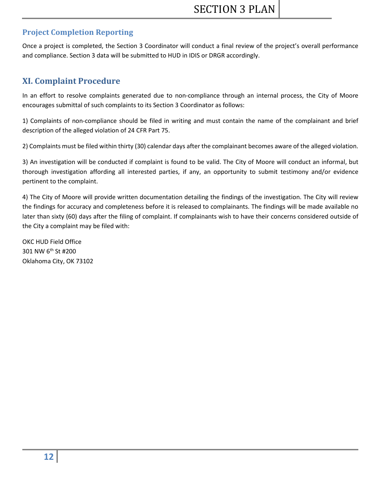# **Project Completion Reporting**

Once a project is completed, the Section 3 Coordinator will conduct a final review of the project's overall performance and compliance. Section 3 data will be submitted to HUD in IDIS or DRGR accordingly.

# **XI. Complaint Procedure**

In an effort to resolve complaints generated due to non-compliance through an internal process, the City of Moore encourages submittal of such complaints to its Section 3 Coordinator as follows:

1) Complaints of non-compliance should be filed in writing and must contain the name of the complainant and brief description of the alleged violation of 24 CFR Part 75.

2) Complaints must be filed within thirty (30) calendar days after the complainant becomes aware of the alleged violation.

3) An investigation will be conducted if complaint is found to be valid. The City of Moore will conduct an informal, but thorough investigation affording all interested parties, if any, an opportunity to submit testimony and/or evidence pertinent to the complaint.

4) The City of Moore will provide written documentation detailing the findings of the investigation. The City will review the findings for accuracy and completeness before it is released to complainants. The findings will be made available no later than sixty (60) days after the filing of complaint. If complainants wish to have their concerns considered outside of the City a complaint may be filed with:

OKC HUD Field Office 301 NW 6th St #200 Oklahoma City, OK 73102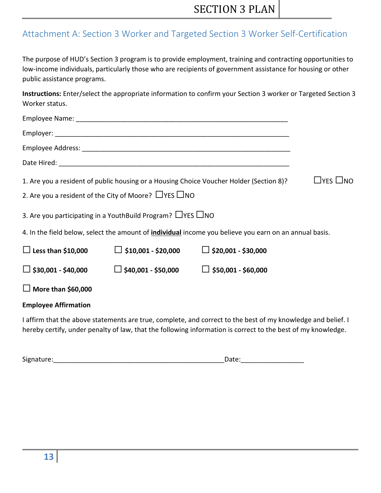# Attachment A: Section 3 Worker and Targeted Section 3 Worker Self-Certification

The purpose of HUD's Section 3 program is to provide employment, training and contracting opportunities to low-income individuals, particularly those who are recipients of government assistance for housing or other public assistance programs.

**Instructions:** Enter/select the appropriate information to confirm your Section 3 worker or Targeted Section 3 Worker status.

|                             | 2. Are you a resident of the City of Moore? $\Box$ YES $\Box$ NO                 | 1. Are you a resident of public housing or a Housing Choice Voucher Holder (Section 8)?                      | $\sqcup$ yes $\sqcup$ no |
|-----------------------------|----------------------------------------------------------------------------------|--------------------------------------------------------------------------------------------------------------|--------------------------|
|                             | 3. Are you participating in a YouthBuild Program? $\Box$ YES $\Box$ NO           |                                                                                                              |                          |
|                             |                                                                                  | 4. In the field below, select the amount of individual income you believe you earn on an annual basis.       |                          |
| $\Box$ Less than \$10,000   | $\Box$ \$10,001 - \$20,000 $\Box$ \$20,001 - \$30,000                            |                                                                                                              |                          |
|                             | $\Box$ \$30,001 - \$40,000 $\Box$ \$40,001 - \$50,000 $\Box$ \$50,001 - \$60,000 |                                                                                                              |                          |
| $\Box$ More than \$60,000   |                                                                                  |                                                                                                              |                          |
| <b>Employee Affirmation</b> |                                                                                  |                                                                                                              |                          |
|                             |                                                                                  | I affirm that the above statements are true, complete, and correct to the best of my knowledge and belief. I |                          |

hereby certify, under penalty of law, that the following information is correct to the best of my knowledge.

| $\overline{\phantom{a}}$<br>rr <sub>0</sub><br>SIRI<br>. | $-$ |
|----------------------------------------------------------|-----|
|----------------------------------------------------------|-----|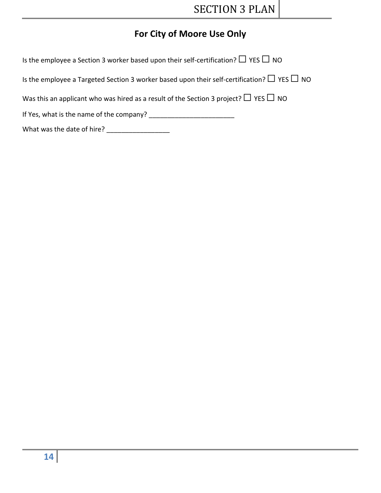# **For City of Moore Use Only**

| Is the employee a Section 3 worker based upon their self-certification? $\Box$ YES $\Box$ NO |
|----------------------------------------------------------------------------------------------|
|----------------------------------------------------------------------------------------------|

Is the employee a Targeted Section 3 worker based upon their self-certification?  $\Box$  YES  $\Box$  NO

Was this an applicant who was hired as a result of the Section 3 project?  $\Box$  YES  $\Box$  NO

If Yes, what is the name of the company? \_\_\_\_\_\_\_\_\_\_\_\_\_\_\_\_\_\_\_\_\_\_\_

What was the date of hire? \_\_\_\_\_\_\_\_\_\_\_\_\_\_\_\_\_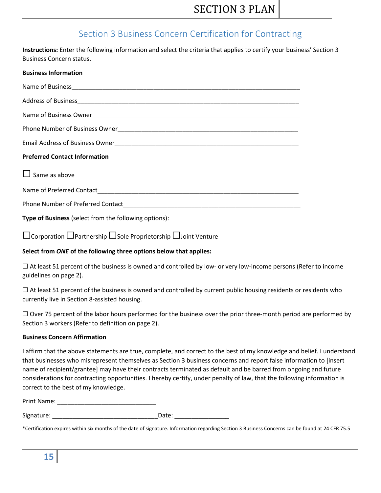# Section 3 Business Concern Certification for Contracting

**Instructions:** Enter the following information and select the criteria that applies to certify your business' Section 3 Business Concern status.

| <b>Business Information</b>                           |  |  |
|-------------------------------------------------------|--|--|
|                                                       |  |  |
|                                                       |  |  |
|                                                       |  |  |
|                                                       |  |  |
|                                                       |  |  |
| <b>Preferred Contact Information</b>                  |  |  |
| $\Box$ Same as above                                  |  |  |
|                                                       |  |  |
|                                                       |  |  |
| Type of Business (select from the following options): |  |  |

☐Corporation ☐Partnership ☐Sole Proprietorship ☐Joint Venture

#### **Select from** *ONE* **of the following three options below that applies:**

 $\Box$  At least 51 percent of the business is owned and controlled by low- or very low-income persons (Refer to income guidelines on page 2).

 $\Box$  At least 51 percent of the business is owned and controlled by current public housing residents or residents who currently live in Section 8-assisted housing.

 $\Box$  Over 75 percent of the labor hours performed for the business over the prior three-month period are performed by Section 3 workers (Refer to definition on page 2).

#### **Business Concern Affirmation**

I affirm that the above statements are true, complete, and correct to the best of my knowledge and belief. I understand that businesses who misrepresent themselves as Section 3 business concerns and report false information to [insert name of recipient/grantee] may have their contracts terminated as default and be barred from ongoing and future considerations for contracting opportunities. I hereby certify, under penalty of law, that the following information is correct to the best of my knowledge.

Print Name:

Signature: etc. and the state of the state of the Date:

\*Certification expires within six months of the date of signature. Information regarding Section 3 Business Concerns can be found at 24 CFR 75.5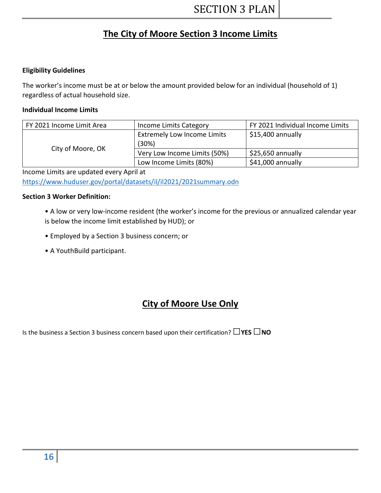# **The City of Moore Section 3 Income Limits**

#### **Eligibility Guidelines**

The worker's income must be at or below the amount provided below for an individual (household of 1) regardless of actual household size.

#### **Individual Income Limits**

| FY 2021 Income Limit Area | Income Limits Category             | FY 2021 Individual Income Limits |
|---------------------------|------------------------------------|----------------------------------|
|                           | <b>Extremely Low Income Limits</b> | \$15,400 annually                |
|                           | (30%)                              |                                  |
| City of Moore, OK         | Very Low Income Limits (50%)       | \$25,650 annually                |
|                           | Low Income Limits (80%)            | \$41,000 annually                |

Income Limits are updated every April at <https://www.huduser.gov/portal/datasets/il/il2021/2021summary.odn>

#### **Section 3 Worker Definition:**

- A low or very low-income resident (the worker's income for the previous or annualized calendar year is below the income limit established by HUD); or
- Employed by a Section 3 business concern; or
- A YouthBuild participant.

# **City of Moore Use Only**

Is the business a Section 3 business concern based upon their certification? **□YES □NO**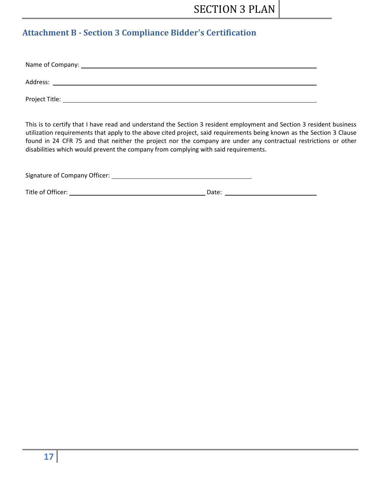# **Attachment B - Section 3 Compliance Bidder's Certification**

| Address:       |  |  |
|----------------|--|--|
| Project Title: |  |  |

This is to certify that I have read and understand the Section 3 resident employment and Section 3 resident business utilization requirements that apply to the above cited project, said requirements being known as the Section 3 Clause found in 24 CFR 75 and that neither the project nor the company are under any contractual restrictions or other disabilities which would prevent the company from complying with said requirements.

| Signature of Company Officer: |  |
|-------------------------------|--|
|                               |  |

Title of Officer: Date: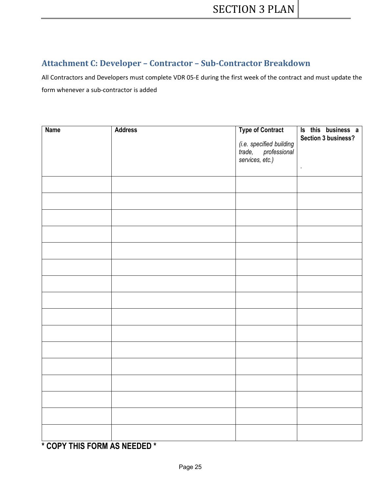# **Attachment C: Developer – Contractor – Sub-Contractor Breakdown**

All Contractors and Developers must complete VDR 05-E during the first week of the contract and must update the form whenever a sub-contractor is added

| <b>Name</b> | <b>Address</b> | <b>Type of Contract</b><br>(i.e. specified building<br>trade, professional<br>services, etc.) | Is this business a<br><b>Section 3 business?</b><br>$\epsilon$ |
|-------------|----------------|-----------------------------------------------------------------------------------------------|----------------------------------------------------------------|
|             |                |                                                                                               |                                                                |
|             |                |                                                                                               |                                                                |
|             |                |                                                                                               |                                                                |
|             |                |                                                                                               |                                                                |
|             |                |                                                                                               |                                                                |
|             |                |                                                                                               |                                                                |
|             |                |                                                                                               |                                                                |
|             |                |                                                                                               |                                                                |
|             |                |                                                                                               |                                                                |
|             |                |                                                                                               |                                                                |
|             |                |                                                                                               |                                                                |
|             |                |                                                                                               |                                                                |
|             |                |                                                                                               |                                                                |
|             |                |                                                                                               |                                                                |
|             |                |                                                                                               |                                                                |
|             |                |                                                                                               |                                                                |

**\* COPY THIS FORM AS NEEDED \***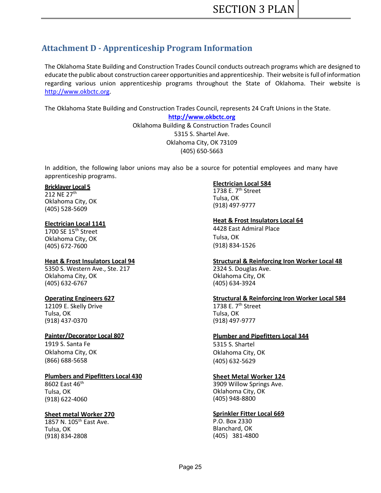# **Attachment D - Apprenticeship Program Information**

The Oklahoma State Building and Construction Trades Council conducts outreach programs which are designed to educate the public about construction career opportunities and apprenticeship. Their website is fullofinformation regarding various union apprenticeship programs throughout the State of Oklahoma. Their website is [http://www.okbctc.org.](http://www.okbctc.org/)

The Oklahoma State Building and Construction Trades Council, represents 24 Craft Unions in the State.

**[http://www.okbctc.org](http://www.okbctc.org/)** Oklahoma Building & Construction Trades Council 5315 S. Shartel Ave. Oklahoma City, OK 73109 (405) 650-5663

In addition, the following labor unions may also be a source for potential employees and many have apprenticeship programs.

#### **Bricklayer Local 5**

212 NE 27th Oklahoma City, OK (405) 528-5609

#### **Electrician Local 1141**

1700 SE 15<sup>th</sup> Street Oklahoma City, OK (405) 672-7600

#### **Heat & Frost Insulators Local 94**

5350 S. Western Ave., Ste. 217 Oklahoma City, OK (405) 632-6767

#### **Operating Engineers 627**

12109 E. Skelly Drive Tulsa, OK (918) 437-0370

#### **Painter/Decorator Local 807**

1919 S. Santa Fe Oklahoma City, OK (866) 688-5658

#### **Plumbers and Pipefitters Local 430**

8602 East 46th Tulsa, OK (918) 622-4060

#### **Sheet metal Worker 270**

1857 N. 105<sup>th</sup> East Ave. Tulsa, OK (918) 834-2808

#### **Electrician Local 584**

1738 E.  $7<sup>th</sup>$  Street Tulsa, OK (918) 497-9777

#### **Heat & Frost Insulators Local 64**

4428 East Admiral Place Tulsa, OK (918) 834-1526

#### **Structural & Reinforcing Iron Worker Local 48**

2324 S. Douglas Ave. Oklahoma City, OK (405) 634-3924

#### **Structural & Reinforcing Iron Worker Local 584**

1738 E.  $7<sup>th</sup>$  Street Tulsa, OK (918) 497-9777

#### **Plumber and Pipefitters Local 344**

5315 S. Shartel Oklahoma City, OK (405) 632-5629

#### **Sheet Metal Worker 124**

3909 Willow Springs Ave. Oklahoma City, OK (405) 948-8800

#### **Sprinkler Fitter Local 669**

P.O. Box 2330 Blanchard, OK (405) 381-4800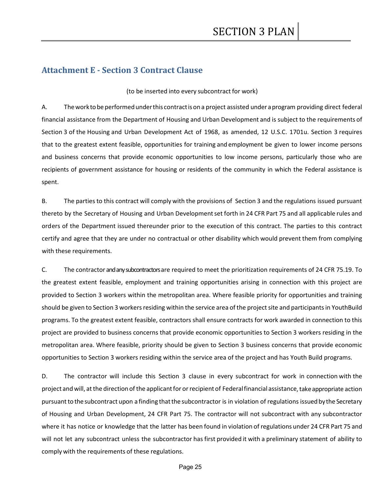## **Attachment E - Section 3 Contract Clause**

(to be inserted into every subcontract for work)

A. Theworktobe performedunderthis contractisona project assisted under aprogram providing direct federal financial assistance from the Department of Housing and Urban Development and is subject to the requirements of Section 3 of the Housing and Urban Development Act of 1968, as amended, 12 U.S.C. 1701u. Section 3 requires that to the greatest extent feasible, opportunities for training and employment be given to lower income persons and business concerns that provide economic opportunities to low income persons, particularly those who are recipients of government assistance for housing or residents of the community in which the Federal assistance is spent.

B. The parties to this contract will comply with the provisions of Section 3 and the regulations issued pursuant thereto by the Secretary of Housing and Urban Developmentset forth in 24 CFR Part 75 and all applicable rules and orders of the Department issued thereunder prior to the execution of this contract. The parties to this contract certify and agree that they are under no contractual or other disability which would prevent them from complying with these requirements.

C. The contractor and any subcontractors are required to meet the prioritization requirements of 24 CFR 75.19. To the greatest extent feasible, employment and training opportunities arising in connection with this project are provided to Section 3 workers within the metropolitan area. Where feasible priority for opportunities and training should be given to Section 3 workers residing within the service area of the project site and participants in YouthBuild programs. To the greatest extent feasible, contractors shall ensure contracts for work awarded in connection to this project are provided to business concerns that provide economic opportunities to Section 3 workers residing in the metropolitan area. Where feasible, priority should be given to Section 3 business concerns that provide economic opportunities to Section 3 workers residing within the service area of the project and has Youth Build programs.

D. The contractor will include this Section 3 clause in every subcontract for work in connection with the project and will, at the direction of the applicant for or recipient of Federal financial assistance, take appropriate action pursuant to the subcontract upon a finding that the subcontractor is in violation of regulations issued by the Secretary of Housing and Urban Development, 24 CFR Part 75. The contractor will not subcontract with any subcontractor where it has notice or knowledge that the latter has been found in violation of regulations under 24 CFR Part 75 and will not let any subcontract unless the subcontractor has first provided it with a preliminary statement of ability to comply with the requirements of these regulations.